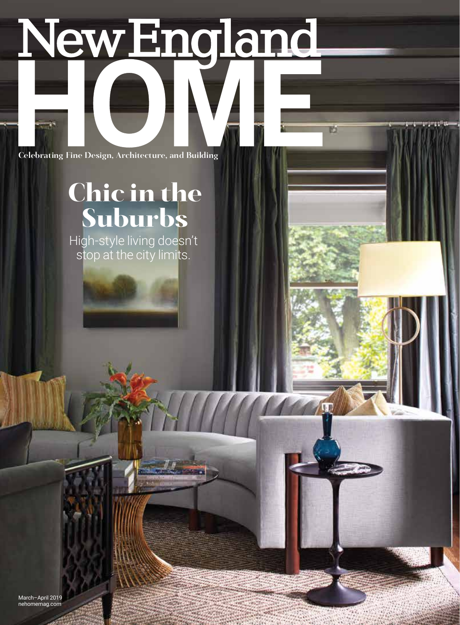NewEngland

酌

**Celebrating Fine Design, Architecture, and Building**

## **Chic in the Suburbs**

High-style living doesn't stop at the city limits.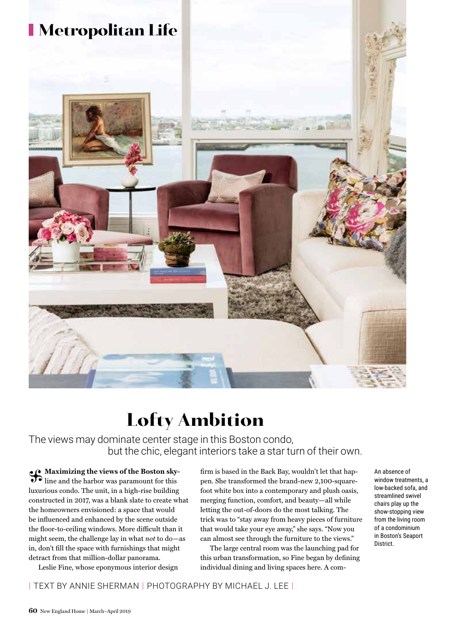

## **Lofty Ambition**

The views may dominate center stage in this Boston condo, but the chic, elegant interiors take a star turn of their own.

**•Maximizing the views of the Boston sky-**line and the harbor was paramount for this luxurious condo. The unit, in a high-rise building constructed in 2017, was a blank slate to create what the homeowners envisioned: a space that would be influenced and enhanced by the scene outside the floor-to-ceiling windows. More difficult than it might seem, the challenge lay in what *not* to do—as in, don't fill the space with furnishings that might detract from that million-dollar panorama.

Leslie Fine, whose eponymous interior design

firm is based in the Back Bay, wouldn't let that happen. She transformed the brand-new 2,100-squarefoot white box into a contemporary and plush oasis, merging function, comfort, and beauty—all while letting the out-of-doors do the most talking. The trick was to "stay away from heavy pieces of furniture that would take your eye away," she says. "Now you can almost see through the furniture to the views."

The large central room was the launching pad for this urban transformation, so Fine began by defining individual dining and living spaces here. A comAn absence of window treatments, a low-backed sofa, and streamlined swivel chairs play up the show-stopping view from the living room of a condominium in Boston's Seaport District.

## | TEXT BY ANNIE SHERMAN | PHOTOGRAPHY BY MICHAEL J. LEE |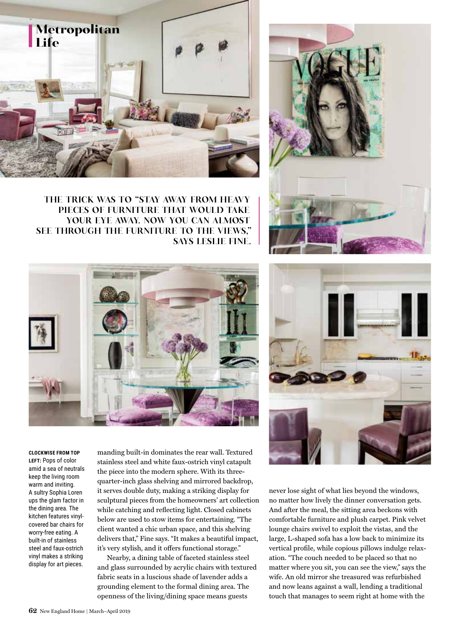



**THE TRICK WAS TO "STAY AWAY FROM HEAVY PIECES OF FURNITURE THAT WOULD TAKE YOUR EYE AWAY. NOW YOU CAN ALMOST SEE THROUGH THE FURNITURE TO THE VIEWS," SAYS LESLIE FINE.**





**CLOCKWISE FROM TOP LEFT:** Pops of color amid a sea of neutrals keep the living room warm and inviting. A sultry Sophia Loren ups the glam factor in the dining area. The kitchen features vinylcovered bar chairs for worry-free eating. A built-in of stainless steel and faux-ostrich vinyl makes a striking display for art pieces.

manding built-in dominates the rear wall. Textured stainless steel and white faux-ostrich vinyl catapult the piece into the modern sphere. With its threequarter-inch glass shelving and mirrored backdrop, it serves double duty, making a striking display for sculptural pieces from the homeowners' art collection while catching and reflecting light. Closed cabinets below are used to stow items for entertaining. "The client wanted a chic urban space, and this shelving delivers that," Fine says. "It makes a beautiful impact, it's very stylish, and it offers functional storage."

Nearby, a dining table of faceted stainless steel and glass surrounded by acrylic chairs with textured fabric seats in a luscious shade of lavender adds a grounding element to the formal dining area. The openness of the living/dining space means guests

never lose sight of what lies beyond the windows, no matter how lively the dinner conversation gets. And after the meal, the sitting area beckons with comfortable furniture and plush carpet. Pink velvet lounge chairs swivel to exploit the vistas, and the large, L-shaped sofa has a low back to minimize its vertical profile, while copious pillows indulge relaxation. "The couch needed to be placed so that no matter where you sit, you can see the view," says the wife. An old mirror she treasured was refurbished and now leans against a wall, lending a traditional touch that manages to seem right at home with the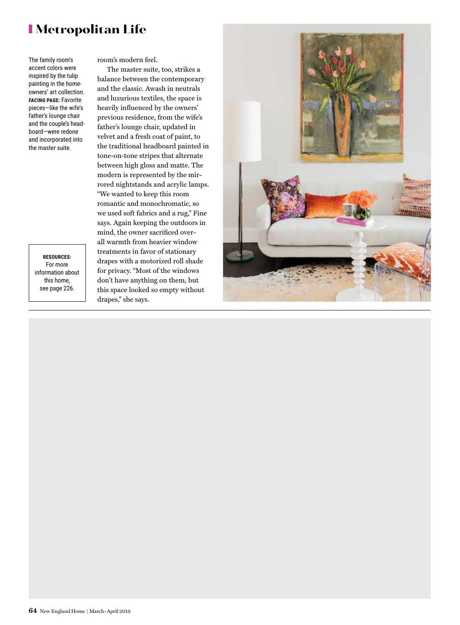## **Metropolitan Life**

The family room's accent colors were inspired by the tulip painting in the homeowners' art collection. **FACING PAGE:** Favorite pieces—like the wife's father's lounge chair and the couple's headboard—were redone and incorporated into the master suite.

**RESOURCES:**  For more information about this home, see page 226.

room's modern feel.

The master suite, too, strikes a balance between the contemporary and the classic. Awash in neutrals and luxurious textiles, the space is heavily influenced by the owners' previous residence, from the wife's father's lounge chair, updated in velvet and a fresh coat of paint, to the traditional headboard painted in tone-on-tone stripes that alternate between high gloss and matte. The modern is represented by the mirrored nightstands and acrylic lamps. "We wanted to keep this room romantic and monochromatic, so we used soft fabrics and a rug," Fine says. Again keeping the outdoors in mind, the owner sacrificed overall warmth from heavier window treatments in favor of stationary drapes with a motorized roll shade for privacy. "Most of the windows don't have anything on them, but this space looked so empty without drapes," she says.